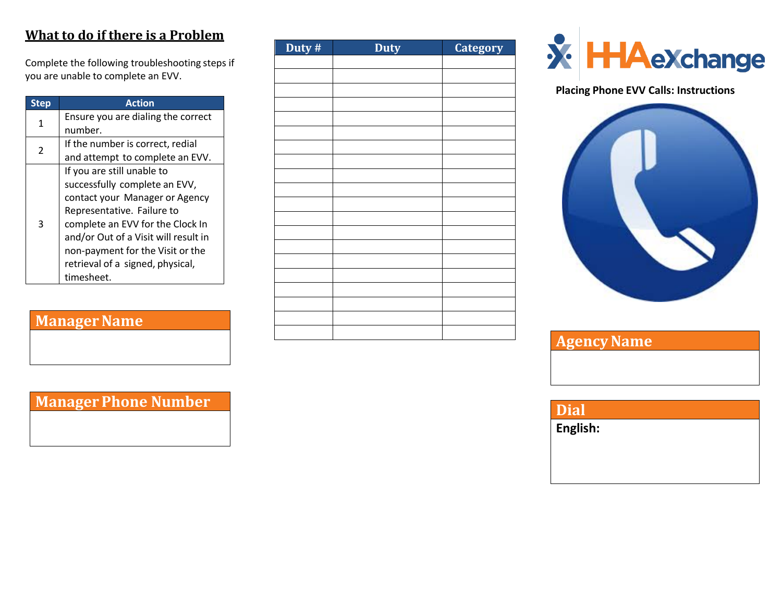## **What to do if there is a Problem**

Complete the following troubleshooting steps if you are unable to complete an EVV.

| <b>Step</b> | Action                               |
|-------------|--------------------------------------|
| 1           | Ensure you are dialing the correct   |
|             | number.                              |
| 2           | If the number is correct, redial     |
|             | and attempt to complete an EVV.      |
|             | If you are still unable to           |
|             | successfully complete an EVV,        |
|             | contact your Manager or Agency       |
|             | Representative. Failure to           |
| 3           | complete an EVV for the Clock In     |
|             | and/or Out of a Visit will result in |
|             | non-payment for the Visit or the     |
|             | retrieval of a signed, physical,     |
|             | timesheet.                           |

# **Manager Name**

| Duty # | <b>Duty</b> | <b>Category</b> |
|--------|-------------|-----------------|
|        |             |                 |
|        |             |                 |
|        |             |                 |
|        |             |                 |
|        |             |                 |
|        |             |                 |
|        |             |                 |
|        |             |                 |
|        |             |                 |
|        |             |                 |
|        |             |                 |
|        |             |                 |
|        |             |                 |
|        |             |                 |
|        |             |                 |
|        |             |                 |
|        |             |                 |
|        |             |                 |
|        |             |                 |
|        |             |                 |



### **Placing Phone EVV Calls: Instructions**



| <b>Agency Name</b> |  |
|--------------------|--|
|                    |  |
|                    |  |

# **Manager Phone Number**

**Dial**

**English:**